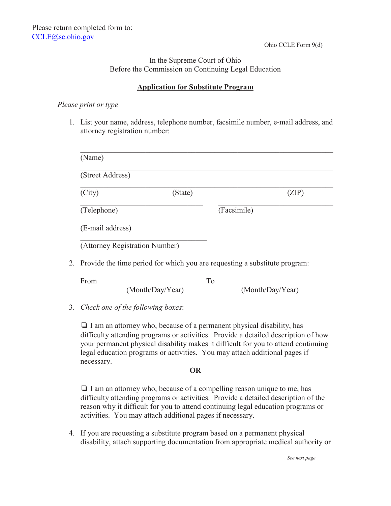## In the Supreme Court of Ohio Before the Commission on Continuing Legal Education

### **Application for Substitute Program**

#### *Please print or type*

1. List your name, address, telephone number, facsimile number, e-mail address, and attorney registration number:

| (Street Address) |         |             |       |
|------------------|---------|-------------|-------|
| (City)           | (State) |             | (ZIP) |
| (Telephone)      |         | (Facsimile) |       |
| (E-mail address) |         |             |       |

2. Provide the time period for which you are requesting a substitute program:

| From |                  |                  |  |
|------|------------------|------------------|--|
|      | (Month/Day/Year) | (Month/Day/Year) |  |

#### 3. *Check one of the following boxes*:

 $\Box$  I am an attorney who, because of a permanent physical disability, has difficulty attending programs or activities. Provide a detailed description of how your permanent physical disability makes it difficult for you to attend continuing legal education programs or activities. You may attach additional pages if necessary.

#### **OR**

 $\Box$  I am an attorney who, because of a compelling reason unique to me, has difficulty attending programs or activities. Provide a detailed description of the reason why it difficult for you to attend continuing legal education programs or activities. You may attach additional pages if necessary.

4. If you are requesting a substitute program based on a permanent physical disability, attach supporting documentation from appropriate medical authority or

*See next page*